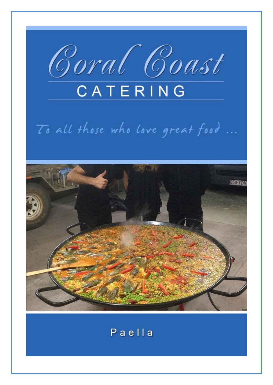

# To all those who love great food ...



## Paella